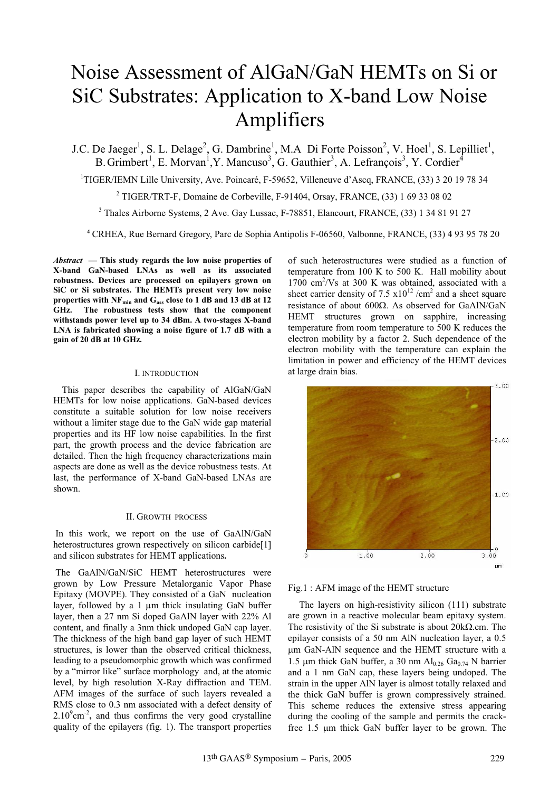# Noise Assessment of AlGaN/GaN HEMTs on Si or SiC Substrates: Application to X-band Low Noise Amplifiers

J.C. De Jaeger<sup>1</sup>, S. L. Delage<sup>2</sup>, G. Dambrine<sup>1</sup>, M.A Di Forte Poisson<sup>2</sup>, V. Hoel<sup>1</sup>, S. Lepilliet<sup>1</sup>, B. Grimbert<sup>1</sup>, E. Morvan<sup>1</sup>, Y. Mancuso<sup>3</sup>, G. Gauthier<sup>3</sup>, A. Lefrançois<sup>3</sup>, Y. Cordier<sup>4</sup>

<sup>1</sup>TIGER/IEMN Lille University, Ave. Poincaré, F-59652, Villeneuve d'Ascq, FRANCE, (33) 3 20 19 78 34

<sup>2</sup> TIGER/TRT-F, Domaine de Corbeville, F-91404, Orsay, FRANCE,  $(33)$  1 69 33 08 02

3 Thales Airborne Systems, 2 Ave. Gay Lussac, F-78851, Elancourt, FRANCE, (33) 1 34 81 91 27

**<sup>4</sup>** CRHEA, Rue Bernard Gregory, Parc de Sophia Antipolis F-06560, Valbonne, FRANCE, (33) 4 93 95 78 20

*Abstract* **— This study regards the low noise properties of X-band GaN-based LNAs as well as its associated robustness. Devices are processed on epilayers grown on SiC or Si substrates. The HEMTs present very low noise** properties with NF<sub>min</sub> and G<sub>ass</sub> close to 1 dB and 13 dB at 12 **GHz. The robustness tests show that the component withstands power level up to 34 dBm. A two-stages X-band LNA is fabricated showing a noise figure of 1.7 dB with a gain of 20 dB at 10 GHz.**

# I. INTRODUCTION

This paper describes the capability of AlGaN/GaN HEMTs for low noise applications. GaN-based devices constitute a suitable solution for low noise receivers without a limiter stage due to the GaN wide gap material properties and its HF low noise capabilities. In the first part, the growth process and the device fabrication are detailed. Then the high frequency characterizations main aspects are done as well as the device robustness tests. At last, the performance of X-band GaN-based LNAs are shown.

#### II. GROWTH PROCESS

In this work, we report on the use of GaAlN/GaN heterostructures grown respectively on silicon carbide[1] and silicon substrates for HEMT applications**.**

The GaAlN/GaN/SiC HEMT heterostructures were grown by Low Pressure Metalorganic Vapor Phase Epitaxy (MOVPE). They consisted of a GaN nucleation layer, followed by a 1  $\mu$ m thick insulating GaN buffer layer, then a 27 nm Si doped GaAlN layer with 22% Al content, and finally a 3nm thick undoped GaN cap layer. The thickness of the high band gap layer of such HEMT structures, is lower than the observed critical thickness, leading to a pseudomorphic growth which was confirmed by a "mirror like" surface morphology and, at the atomic level, by high resolution X-Ray diffraction and TEM. AFM images of the surface of such layers revealed a RMS close to 0.3 nm associated with a defect density of  $2.10^9$ cm<sup>-2</sup>, and thus confirms the very good crystalline quality of the epilayers (fig. 1). The transport properties

of such heterostructures were studied as a function of temperature from 100 K to 500 K. Hall mobility about 1700 cm<sup>2</sup>/Vs at 300 K was obtained, associated with a sheet carrier density of 7.5  $x10^{12}$  /cm<sup>2</sup> and a sheet square resistance of about 600 $\Omega$ . As observed for GaAlN/GaN HEMT structures grown on sapphire, increasing temperature from room temperature to 500 K reduces the electron mobility by a factor 2. Such dependence of the electron mobility with the temperature can explain the limitation in power and efficiency of the HEMT devices at large drain bias.



Fig.1 : AFM image of the HEMT structure

The layers on high-resistivity silicon (111) substrate are grown in a reactive molecular beam epitaxy system. The resistivity of the Si substrate is about  $20k\Omega$ .cm. The epilayer consists of a 50 nm AlN nucleation layer, a 0.5 µm GaN-AlN sequence and the HEMT structure with a 1.5 µm thick GaN buffer, a 30 nm Al<sub>0.26</sub> Ga<sub>0.74</sub> N barrier and a 1 nm GaN cap, these layers being undoped. The strain in the upper AlN layer is almost totally relaxed and the thick GaN buffer is grown compressively strained. This scheme reduces the extensive stress appearing during the cooling of the sample and permits the crackfree 1.5 µm thick GaN buffer layer to be grown. The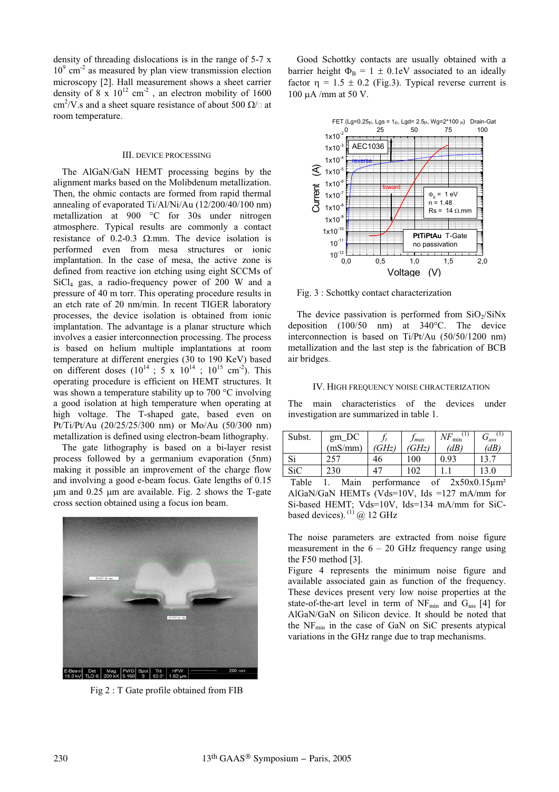density of threading dislocations is in the range of 5-7 x  $10<sup>9</sup>$  cm<sup>-2</sup> as measured by plan view transmission election microscopy [2]. Hall measurement shows a sheet carrier density of  $8 \times 10^{12}$  cm<sup>-2</sup>, an electron mobility of 1600 cm<sup>2</sup>/V.s and a sheet square resistance of about 500  $\Omega/\Box$  at room temperature.

# III. DEVICE PROCESSING

The AlGaN/GaN HEMT processing begins by the alignment marks based on the Molibdenum metallization. Then, the ohmic contacts are formed from rapid thermal annealing of evaporated Ti/Al/Ni/Au (12/200/40/100 nm) metallization at 900 °C for 30s under nitrogen atmosphere. Typical results are commonly a contact resistance of 0.2-0.3  $\Omega$ mm. The device isolation is performed even from mesa structures or ionic implantation. In the case of mesa, the active zone is defined from reactive ion etching using eight SCCMs of SiCl4 gas, a radio-frequency power of 200 W and a pressure of 40 m torr. This operating procedure results in an etch rate of 20 nm/min. In recent TIGER laboratory processes, the device isolation is obtained from ionic implantation. The advantage is a planar structure which involves a easier interconnection processing. The process is based on helium multiple implantations at room temperature at different energies (30 to 190 KeV) based on different doses  $(10^{14}$ ; 5 x  $10^{14}$ ;  $10^{15}$  cm<sup>-2</sup>). This operating procedure is efficient on HEMT structures. It was shown a temperature stability up to 700 °C involving a good isolation at high temperature when operating at high voltage. The T-shaped gate, based even on Pt/Ti/Pt/Au (20/25/25/300 nm) or Mo/Au (50/300 nm) metallization is defined using electron-beam lithography.

The gate lithography is based on a bi-layer resist process followed by a germanium evaporation (5nm) making it possible an improvement of the charge flow and involving a good e-beam focus. Gate lengths of 0.15  $\mu$ m and 0.25  $\mu$ m are available. Fig. 2 shows the T-gate cross section obtained using a focus ion beam.



Fig 2 : T Gate profile obtained from FIB

Good Schottky contacts are usually obtained with a barrier height  $\Phi_B = 1 \pm 0.1$ eV associated to an ideally factor  $\eta$  = 1.5  $\pm$  0.2 (Fig.3). Typical reverse current is 100  $\mu$ A /mm at 50 V.



Fig. 3 : Schottky contact characterization

The device passivation is performed from  $SiO<sub>2</sub>/SiNx$ deposition (100/50 nm) at 340°C. The device interconnection is based on Ti/Pt/Au (50/50/1200 nm) metallization and the last step is the fabrication of BCB air bridges.

#### IV. HIGH FREQUENCY NOISE CHRACTERIZATION

The main characteristics of the devices under investigation are summarized in table 1.

| Subst.     | $gm\_DC$ |             | $J$ <i>max</i> | $N F_{\min}^{(1)}$ | $G_{ass}^{(1)}$    |
|------------|----------|-------------|----------------|--------------------|--------------------|
|            | (mS/mm)  | (GHz)       | (GHz)          | (dB)               | (dB)               |
| Si         | 257      | 46          | 100            | 0.93               |                    |
| <b>SiC</b> | 230      |             | 102            |                    | 13.0               |
| Table      | Main     | performance |                | of                 | $2x50x0.15\mu m^2$ |

AlGaN/GaN HEMTs (Vds=10V, Ids =127 mA/mm for Si-based HEMT; Vds=10V, Ids=134 mA/mm for SiCbased devices).  $^{(1)}$  @ 12 GHz

The noise parameters are extracted from noise figure measurement in the  $6 - 20$  GHz frequency range using the F50 method [3].

Figure 4 represents the minimum noise figure and available associated gain as function of the frequency. These devices present very low noise properties at the state-of-the-art level in term of  $NF_{\text{min}}$  and  $G_{\text{ass}}$  [4] for AlGaN/GaN on Silicon device. It should be noted that the  $NF_{\text{min}}$  in the case of GaN on SiC presents atypical variations in the GHz range due to trap mechanisms.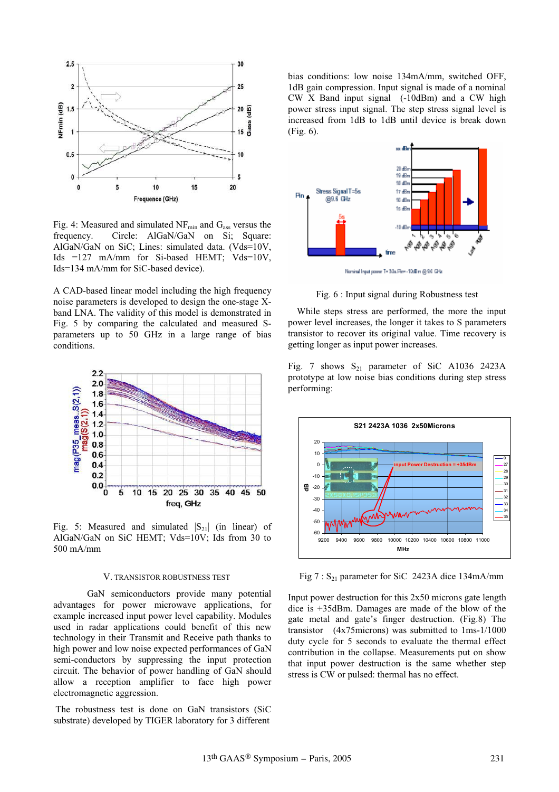

Fig. 4: Measured and simulated  $NF_{min}$  and  $G_{ass}$  versus the frequency. Circle: AlGaN/GaN on Si; Square: AlGaN/GaN on SiC; Lines: simulated data. (Vds=10V, Ids =127 mA/mm for Si-based HEMT; Vds=10V, Ids=134 mA/mm for SiC-based device).

A CAD-based linear model including the high frequency noise parameters is developed to design the one-stage Xband LNA. The validity of this model is demonstrated in Fig. 5 by comparing the calculated and measured Sparameters up to 50 GHz in a large range of bias conditions.



Fig. 5: Measured and simulated  $|S_{21}|$  (in linear) of AlGaN/GaN on SiC HEMT; Vds=10V; Ids from 30 to 500 mA/mm

## V. TRANSISTOR ROBUSTNESS TEST

GaN semiconductors provide many potential advantages for power microwave applications, for example increased input power level capability. Modules used in radar applications could benefit of this new technology in their Transmit and Receive path thanks to high power and low noise expected performances of GaN semi-conductors by suppressing the input protection circuit. The behavior of power handling of GaN should allow a reception amplifier to face high power electromagnetic aggression.

The robustness test is done on GaN transistors (SiC substrate) developed by TIGER laboratory for 3 different

bias conditions: low noise 134mA/mm, switched OFF, 1dB gain compression. Input signal is made of a nominal CW X Band input signal (-10dBm) and a CW high power stress input signal. The step stress signal level is increased from 1dB to 1dB until device is break down (Fig. 6).



Fig. 6 : Input signal during Robustness test

While steps stress are performed, the more the input power level increases, the longer it takes to S parameters transistor to recover its original value. Time recovery is getting longer as input power increases.

Fig. 7 shows  $S_{21}$  parameter of SiC A1036 2423A prototype at low noise bias conditions during step stress performing:



Fig  $7: S_{21}$  parameter for SiC 2423A dice 134mA/mm

Input power destruction for this  $2x50$  microns gate length dice is +35dBm. Damages are made of the blow of the gate metal and gate's finger destruction. (Fig.8) The transistor (4x75microns) was submitted to 1ms-1/1000 duty cycle for 5 seconds to evaluate the thermal effect contribution in the collapse. Measurements put on show that input power destruction is the same whether step stress is CW or pulsed: thermal has no effect.